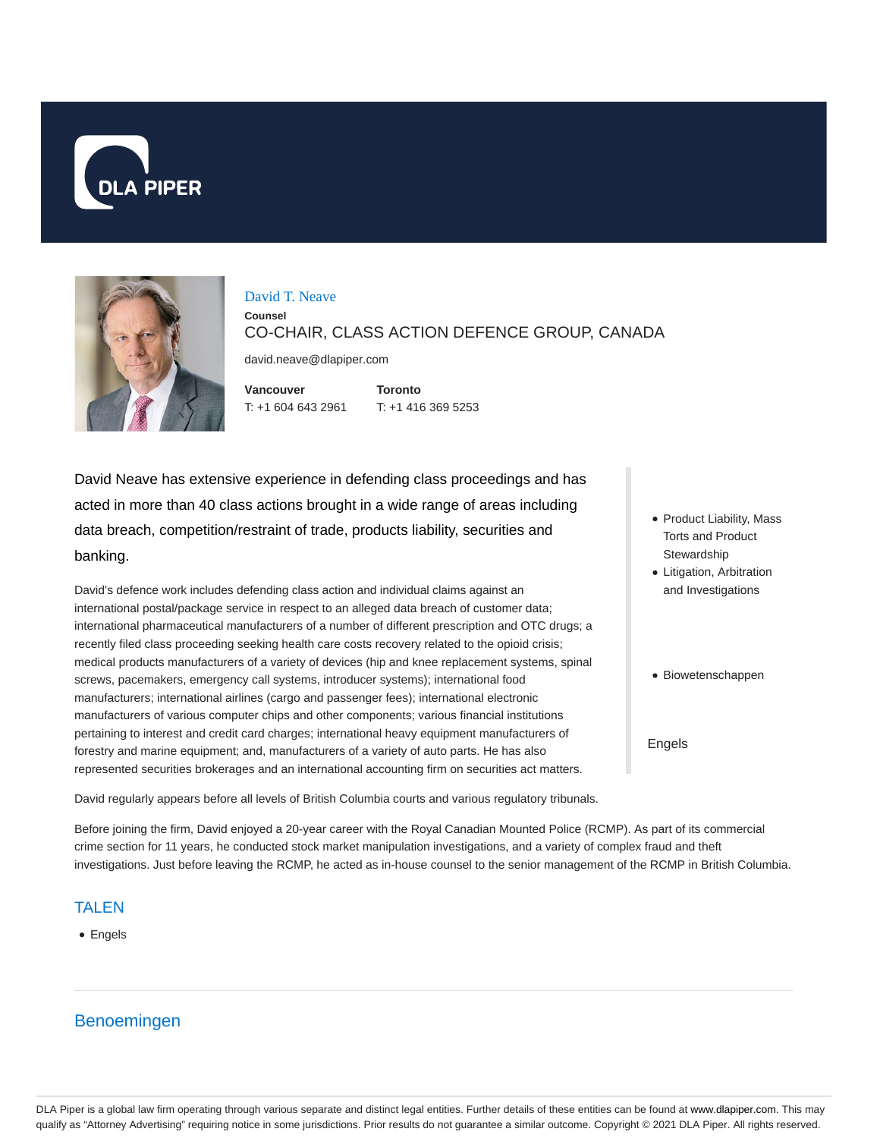



#### David T. Neave

**Counsel** CO-CHAIR, CLASS ACTION DEFENCE GROUP, CANADA

david.neave@dlapiper.com

**Vancouver** T: +1 604 643 2961 **Toronto** T: +1 416 369 5253

David Neave has extensive experience in defending class proceedings and has acted in more than 40 class actions brought in a wide range of areas including data breach, competition/restraint of trade, products liability, securities and banking.

David's defence work includes defending class action and individual claims against an international postal/package service in respect to an alleged data breach of customer data; international pharmaceutical manufacturers of a number of different prescription and OTC drugs; a recently filed class proceeding seeking health care costs recovery related to the opioid crisis; medical products manufacturers of a variety of devices (hip and knee replacement systems, spinal screws, pacemakers, emergency call systems, introducer systems); international food manufacturers; international airlines (cargo and passenger fees); international electronic manufacturers of various computer chips and other components; various financial institutions pertaining to interest and credit card charges; international heavy equipment manufacturers of forestry and marine equipment; and, manufacturers of a variety of auto parts. He has also represented securities brokerages and an international accounting firm on securities act matters.

• Product Liability, Mass Torts and Product **Stewardship** 

- Litigation, Arbitration and Investigations
- Biowetenschappen

Engels

David regularly appears before all levels of British Columbia courts and various regulatory tribunals.

Before joining the firm, David enjoyed a 20-year career with the Royal Canadian Mounted Police (RCMP). As part of its commercial crime section for 11 years, he conducted stock market manipulation investigations, and a variety of complex fraud and theft investigations. Just before leaving the RCMP, he acted as in-house counsel to the senior management of the RCMP in British Columbia.

#### TALEN

• Engels

# Benoemingen

DLA Piper is a global law firm operating through various separate and distinct legal entities. Further details of these entities can be found at www.dlapiper.com. This may qualify as "Attorney Advertising" requiring notice in some jurisdictions. Prior results do not guarantee a similar outcome. Copyright © 2021 DLA Piper. All rights reserved.